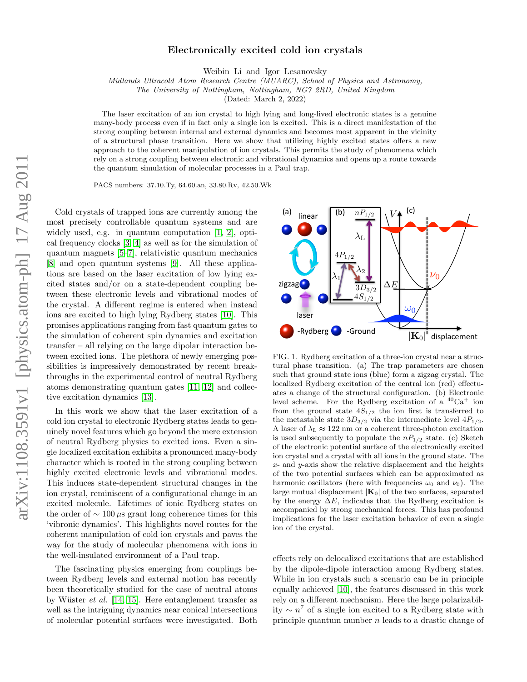## Electronically excited cold ion crystals

Weibin Li and Igor Lesanovsky

Midlands Ultracold Atom Research Centre (MUARC), School of Physics and Astronomy,

The University of Nottingham, Nottingham, NG7 2RD, United Kingdom

(Dated: March 2, 2022)

The laser excitation of an ion crystal to high lying and long-lived electronic states is a genuine many-body process even if in fact only a single ion is excited. This is a direct manifestation of the strong coupling between internal and external dynamics and becomes most apparent in the vicinity of a structural phase transition. Here we show that utilizing highly excited states offers a new approach to the coherent manipulation of ion crystals. This permits the study of phenomena which rely on a strong coupling between electronic and vibrational dynamics and opens up a route towards the quantum simulation of molecular processes in a Paul trap.

PACS numbers: 37.10.Ty, 64.60.an, 33.80.Rv, 42.50.Wk

Cold crystals of trapped ions are currently among the most precisely controllable quantum systems and are widely used, e.g. in quantum computation [\[1,](#page-3-0) [2\]](#page-3-1), optical frequency clocks [\[3,](#page-3-2) [4\]](#page-3-3) as well as for the simulation of quantum magnets [\[5–](#page-3-4)[7\]](#page-3-5), relativistic quantum mechanics [\[8\]](#page-3-6) and open quantum systems [\[9\]](#page-3-7). All these applications are based on the laser excitation of low lying excited states and/or on a state-dependent coupling between these electronic levels and vibrational modes of the crystal. A different regime is entered when instead ions are excited to high lying Rydberg states [\[10\]](#page-3-8). This promises applications ranging from fast quantum gates to the simulation of coherent spin dynamics and excitation transfer – all relying on the large dipolar interaction between excited ions. The plethora of newly emerging possibilities is impressively demonstrated by recent breakthroughs in the experimental control of neutral Rydberg atoms demonstrating quantum gates [\[11,](#page-3-9) [12\]](#page-3-10) and collective excitation dynamics [\[13\]](#page-3-11).

In this work we show that the laser excitation of a cold ion crystal to electronic Rydberg states leads to genuinely novel features which go beyond the mere extension of neutral Rydberg physics to excited ions. Even a single localized excitation exhibits a pronounced many-body character which is rooted in the strong coupling between highly excited electronic levels and vibrational modes. This induces state-dependent structural changes in the ion crystal, reminiscent of a configurational change in an excited molecule. Lifetimes of ionic Rydberg states on the order of  $\sim 100 \,\mu s$  grant long coherence times for this 'vibronic dynamics'. This highlights novel routes for the coherent manipulation of cold ion crystals and paves the way for the study of molecular phenomena with ions in the well-insulated environment of a Paul trap.

The fascinating physics emerging from couplings between Rydberg levels and external motion has recently been theoretically studied for the case of neutral atoms by Wüster *et al.* [\[14,](#page-3-12) [15\]](#page-3-13). Here entanglement transfer as well as the intriguing dynamics near conical intersections of molecular potential surfaces were investigated. Both



<span id="page-0-0"></span>FIG. 1. Rydberg excitation of a three-ion crystal near a structural phase transition. (a) The trap parameters are chosen such that ground state ions (blue) form a zigzag crystal. The localized Rydberg excitation of the central ion (red) effectuates a change of the structural configuration. (b) Electronic level scheme. For the Rydberg excitation of a  ${}^{40}\text{Ca}^+$  ion from the ground state  $4S_{1/2}$  the ion first is transferred to the metastable state  $3D_{3/2}$  via the intermediate level  $4P_{1/2}$ . A laser of  $\lambda_L \approx 122$  nm or a coherent three-photon excitation is used subsequently to populate the  $nP_{1/2}$  state. (c) Sketch of the electronic potential surface of the electronically excited ion crystal and a crystal with all ions in the ground state. The  $x$ - and  $y$ -axis show the relative displacement and the heights of the two potential surfaces which can be approximated as harmonic oscillators (here with frequencies  $\omega_0$  and  $\nu_0$ ). The large mutual displacement  $|\mathbf{K}_0|$  of the two surfaces, separated by the energy  $\Delta E$ , indicates that the Rydberg excitation is accompanied by strong mechanical forces. This has profound implications for the laser excitation behavior of even a single ion of the crystal.

effects rely on delocalized excitations that are established by the dipole-dipole interaction among Rydberg states. While in ion crystals such a scenario can be in principle equally achieved [\[10\]](#page-3-8), the features discussed in this work rely on a different mechanism. Here the large polarizability  $\sim n^7$  of a single ion excited to a Rydberg state with principle quantum number  $n$  leads to a drastic change of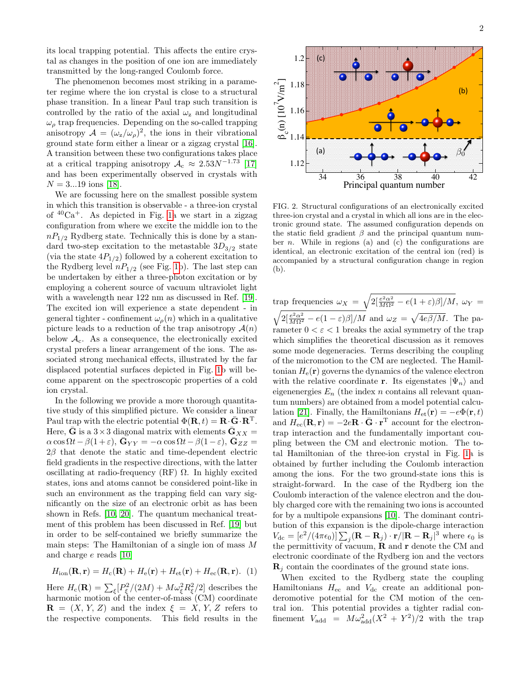its local trapping potential. This affects the entire crystal as changes in the position of one ion are immediately transmitted by the long-ranged Coulomb force.

The phenomenon becomes most striking in a parameter regime where the ion crystal is close to a structural phase transition. In a linear Paul trap such transition is controlled by the ratio of the axial  $\omega_z$  and longitudinal  $\omega<sub>o</sub>$  trap frequencies. Depending on the so-called trapping anisotropy  $\mathcal{A} = (\omega_z/\omega_\rho)^2$ , the ions in their vibrational ground state form either a linear or a zigzag crystal [\[16\]](#page-3-14). A transition between these two configurations takes place at a critical trapping anisotropy  $A_c \approx 2.53 N^{-1.73}$  [\[17\]](#page-3-15) and has been experimentally observed in crystals with  $N = 3...19$  ions [\[18\]](#page-3-16).

We are focussing here on the smallest possible system in which this transition is observable - a three-ion crystal of  ${}^{40}Ca^+$ . As depicted in Fig. [1a](#page-0-0) we start in a zigzag configuration from where we excite the middle ion to the  $nP_{1/2}$  Rydberg state. Technically this is done by a standard two-step excitation to the metastable  $3D_{3/2}$  state (via the state  $4P_{1/2}$ ) followed by a coherent excitation to the Rydberg level  $nP_{1/2}$  (see Fig. [1b](#page-0-0)). The last step can be undertaken by either a three-photon excitation or by employing a coherent source of vacuum ultraviolet light with a wavelength near 122 nm as discussed in Ref. [\[19\]](#page-3-17). The excited ion will experience a state dependent - in general tighter - confinement  $\omega_o(n)$  which in a qualitative picture leads to a reduction of the trap anisotropy  $\mathcal{A}(n)$ below  $\mathcal{A}_{c}$ . As a consequence, the electronically excited crystal prefers a linear arrangement of the ions. The associated strong mechanical effects, illustrated by the far displaced potential surfaces depicted in Fig. [1b](#page-0-0) will become apparent on the spectroscopic properties of a cold ion crystal.

In the following we provide a more thorough quantitative study of this simplified picture. We consider a linear Paul trap with the electric potential  $\Phi(\mathbf{R}, t) = \mathbf{R} \cdot \bar{\mathbf{G}} \cdot \mathbf{R}^{\mathrm{T}}$ . Here, **G** is a  $3 \times 3$  diagonal matrix with elements  $\mathbf{G}_{XX} =$  $\alpha \cos \Omega t - \beta (1 + \varepsilon), \, \bar{\mathbf{G}}_{YY} = -\alpha \cos \Omega t - \beta (1 - \varepsilon), \, \bar{\mathbf{G}}_{ZZ} =$  $2\beta$  that denote the static and time-dependent electric field gradients in the respective directions, with the latter oscillating at radio-frequency (RF)  $\Omega$ . In highly excited states, ions and atoms cannot be considered point-like in such an environment as the trapping field can vary significantly on the size of an electronic orbit as has been shown in Refs. [\[10,](#page-3-8) [20\]](#page-3-18). The quantum mechanical treatment of this problem has been discussed in Ref. [\[19\]](#page-3-17) but in order to be self-contained we briefly summarize the main steps: The Hamiltonian of a single ion of mass M and charge e reads [\[10\]](#page-3-8)

$$
H_{\text{ion}}(\mathbf{R}, \mathbf{r}) = H_{\text{c}}(\mathbf{R}) + H_{\text{e}}(\mathbf{r}) + H_{\text{et}}(\mathbf{r}) + H_{\text{ec}}(\mathbf{R}, \mathbf{r}). \tag{1}
$$

Here  $H_c(\mathbf{R}) = \sum_{\xi} [P_{\xi}^2/(2M) + M\omega_{\xi}^2 R_{\xi}^2/2]$  describes the harmonic motion of the center-of-mass (CM) coordinate  $\mathbf{R} = (X, Y, Z)$  and the index  $\xi = X, Y, Z$  refers to 2



<span id="page-1-0"></span>FIG. 2. Structural configurations of an electronically excited three-ion crystal and a crystal in which all ions are in the electronic ground state. The assumed configuration depends on the static field gradient  $\beta$  and the principal quantum number *n*. While in regions (a) and (c) the configurations are identical, an electronic excitation of the central ion (red) is accompanied by a structural configuration change in region (b).

The respective continue of the respective continue of the system of the system of the system of the respective components. This field results is the respective components. This field results is the system of the system of trap frequencies  $\omega_X = \sqrt{2\left[\frac{e^2\alpha^2}{M\Omega^2} - e(1+\varepsilon)\beta\right]}/M}$ ,  $\omega_Y =$  $\sqrt{2\left[\frac{e^2\alpha^2}{M\Omega^2} - e(1-\varepsilon)\beta\right]}/M$  and  $\omega_Z = \sqrt{4e\beta/M}$ . The parameter  $0 < \varepsilon < 1$  breaks the axial symmetry of the trap which simplifies the theoretical discussion as it removes some mode degeneracies. Terms describing the coupling of the micromotion to the CM are neglected. The Hamiltonian  $H_e(\mathbf{r})$  governs the dynamics of the valence electron with the relative coordinate r. Its eigenstates  $|\Psi_n\rangle$  and eigenenergies  $E_n$  (the index n contains all relevant quantum numbers) are obtained from a model potential calcu-lation [\[21\]](#page-3-19). Finally, the Hamiltonians  $H_{et}(\mathbf{r}) = -e\Phi(\mathbf{r}, t)$ and  $H_{\text{ec}}(\mathbf{R}, \mathbf{r}) = -2e\mathbf{R} \cdot \mathbf{\bar{G}} \cdot \mathbf{r}^{\text{T}}$  account for the electrontrap interaction and the fundamentally important coupling between the CM and electronic motion. The total Hamiltonian of the three-ion crystal in Fig. [1a](#page-0-0) is obtained by further including the Coulomb interaction among the ions. For the two ground-state ions this is straight-forward. In the case of the Rydberg ion the Coulomb interaction of the valence electron and the doubly charged core with the remaining two ions is accounted for by a multipole expansions [\[10\]](#page-3-8). The dominant contribution of this expansion is the dipole-charge interaction  $V_{\text{dc}} = [e^2/(4\pi\epsilon_0)] \sum_j (\mathbf{R} - \mathbf{R}_j) \cdot \mathbf{r}/|\mathbf{R} - \mathbf{R}_j|^3$  where  $\epsilon_0$  is the permittivity of vacuum,  $\bf{R}$  and  $\bf{r}$  denote the CM and electronic coordinate of the Rydberg ion and the vectors  $\mathbf{R}_i$  contain the coordinates of the ground state ions.

When excited to the Rydberg state the coupling Hamiltonians  $H_{\text{ec}}$  and  $V_{\text{dc}}$  create an additional ponderomotive potential for the CM motion of the central ion. This potential provides a tighter radial confinement  $V_{\text{add}} = M \omega_{\text{add}}^2 (X^2 + Y^2)/2$  with the trap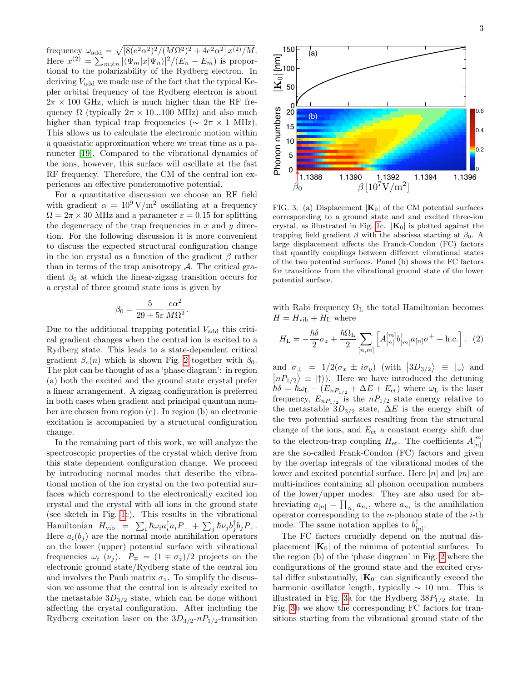frequency  $\omega_{\text{add}} = \sqrt{\left[8(e^2\alpha^2)^2/(M\Omega^2)^2 + 4e^2\alpha^2\right]x^{(2)}/M}.$ Here  $x^{(2)} = \sum_{m \neq n} |\langle \Psi_m | x | \Psi_n \rangle|^2 / (E_n - E_m)$  is proportional to the polarizability of the Rydberg electron. In deriving  $V_{\text{add}}$  we made use of the fact that the typical Kepler orbital frequency of the Rydberg electron is about  $2\pi \times 100$  GHz, which is much higher than the RF frequency  $\Omega$  (typically  $2\pi \times 10...100$  MHz) and also much higher than typical trap frequencies ( $\sim 2\pi \times 1$  MHz). This allows us to calculate the electronic motion within a quasistatic approximation where we treat time as a parameter [\[19\]](#page-3-17). Compared to the vibrational dynamics of the ions, however, this surface will oscillate at the fast RF frequency. Therefore, the CM of the central ion experiences an effective ponderomotive potential.

For a quantitative discussion we choose an RF field with gradient  $\alpha = 10^9 \text{ V/m}^2$  oscillating at a frequency  $\Omega = 2\pi \times 30$  MHz and a parameter  $\varepsilon = 0.15$  for splitting the degeneracy of the trap frequencies in  $x$  and  $y$  direction. For the following discussion it is more convenient to discuss the expected structural configuration change in the ion crystal as a function of the gradient  $\beta$  rather than in terms of the trap anisotropy  $A$ . The critical gradient  $\beta_0$  at which the linear-zigzag transition occurs for a crystal of three ground state ions is given by

$$
\beta_0 = \frac{5}{29 + 5\varepsilon} \frac{e\alpha^2}{M\Omega^2}.
$$

Due to the additional trapping potential  $V_{\text{add}}$  this critical gradient changes when the central ion is excited to a Rydberg state. This leads to a state-dependent critical gradient  $\beta_c(n)$  which is shown Fig. [2](#page-1-0) together with  $\beta_0$ . The plot can be thought of as a 'phase diagram': in region (a) both the excited and the ground state crystal prefer a linear arrangement. A zigzag configuration is preferred in both cases when gradient and principal quantum number are chosen from region (c). In region (b) an electronic excitation is accompanied by a structural configuration change.

In the remaining part of this work, we will analyze the spectroscopic properties of the crystal which derive from this state dependent configuration change. We proceed by introducing normal modes that describe the vibrational motion of the ion crystal on the two potential surfaces which correspond to the electronically excited ion crystal and the crystal with all ions in the ground state (see sketch in Fig. [1c](#page-0-0)). This results in the vibrational Hamiltonian  $H_{\text{vib}} = \sum_{i} \hbar \omega_i a_i^{\dagger} a_i P_- + \sum_{j} \hbar \nu_j b_j^{\dagger} b_j P_+.$ Here  $a_i(b_j)$  are the normal mode annihilation operators on the lower (upper) potential surface with vibrational frequencies  $\omega_i$  ( $\nu_j$ ).  $P_{\pm} = (1 \mp \sigma_z)/2$  projects on the electronic ground state/Rydberg state of the central ion and involves the Pauli matrix  $\sigma_z$ . To simplify the discussion we assume that the central ion is already excited to the metastable  $3D_{3/2}$  state, which can be done without affecting the crystal configuration. After including the Rydberg excitation laser on the  $3D_{3/2}$ - $nP_{1/2}$ -transition



<span id="page-2-0"></span>FIG. 3. (a) Displacement  $|\mathbf{K}_0|$  of the CM potential surfaces corresponding to a ground state and and excited three-ion crystal, as illustrated in Fig. [1c](#page-0-0).  $|\mathbf{K}_0|$  is plotted against the trapping field gradient  $\beta$  with the abscissa starting at  $\beta_0$ . A large displacement affects the Franck-Condon (FC) factors that quantify couplings between different vibrational states of the two potential surfaces. Panel (b) shows the FC factors for transitions from the vibrational ground state of the lower potential surface.

with Rabi frequency  $\Omega_{\rm L}$  the total Hamiltonian becomes  $H = H_{\text{vib}} + H_{\text{L}}$  where

$$
H_{\rm L} = -\frac{\hbar \delta}{2}\sigma_z + \frac{\hbar \Omega_{\rm L}}{2} \sum_{[n,m]} \left[ A_{[n]}^{[m]} b_{[m]}^{\dagger} a_{[n]} \sigma^+ + \text{h.c.} \right]. \tag{2}
$$

and  $\sigma_{\pm} = 1/2(\sigma_x \pm i \sigma_y)$  (with  $|3D_{3/2}\rangle \equiv |\downarrow\rangle$  and  $\vert nP_{1/2}\rangle \equiv \vert \uparrow \rangle$ . Here we have introduced the detuning  $\hbar\delta = \hbar\omega_L - (E_{nP_{1/2}} + \Delta E + E_{\text{et}})$  where  $\omega_L$  is the laser frequency,  $E_{nP_{1/2}}$  is the  $nP_{1/2}$  state energy relative to the metastable  $3D_{3/2}$  state,  $\Delta E$  is the energy shift of the two potential surfaces resulting from the structural change of the ions, and  $E_{\text{et}}$  a constant energy shift due to the electron-trap coupling  $H_{\text{et}}$ . The coefficients  $A_{[n]}^{[m]}$  $[n]$ are the so-called Frank-Condon (FC) factors and given by the overlap integrals of the vibrational modes of the lower and excited potential surface. Here  $[n]$  and  $[m]$  are multi-indices containing all phonon occupation numbers of the lower/upper modes. They are also used for abbreviating  $a_{[n]} = \prod_{n_i} a_{n_i}$ , where  $a_{n_i}$  is the annihilation operator corresponding to the  $n$ -phonon state of the  $i$ -th mode. The same notation applies to  $b_{\alpha}^{\dagger}$  $\frac{1}{[n]}$  .

The FC factors crucially depend on the mutual displacement  $|\mathbf{K}_0|$  of the minima of potential surfaces. In the region (b) of the 'phase diagram' in Fig. [2](#page-1-0) where the configurations of the ground state and the excited crystal differ substantially,  $|\mathbf{K}_0|$  can significantly exceed the harmonic oscillator length, typically  $\sim 10$  nm. This is illustrated in Fig. [3a](#page-2-0) for the Rydberg  $38P_{1/2}$  state. In Fig. [3b](#page-2-0) we show the corresponding FC factors for transitions starting from the vibrational ground state of the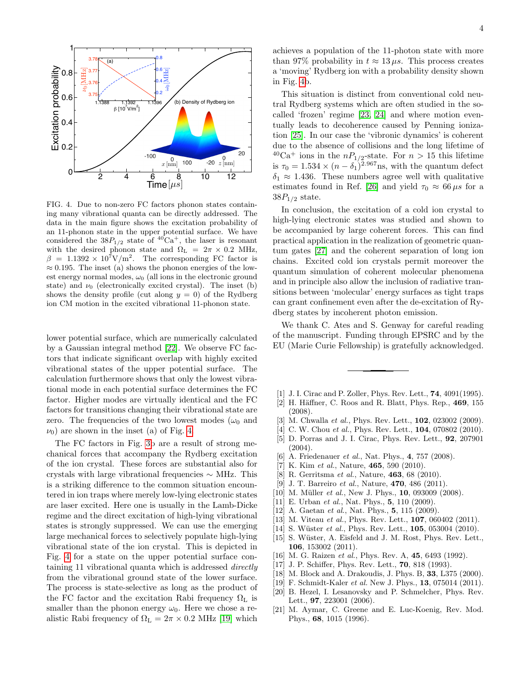

<span id="page-3-20"></span>FIG. 4. Due to non-zero FC factors phonon states containing many vibrational quanta can be directly addressed. The data in the main figure shows the excitation probability of an 11-phonon state in the upper potential surface. We have considered the  $38P_{1/2}$  state of  ${}^{40}Ca<sup>+</sup>$ , the laser is resonant with the desired phonon state and  $\Omega_{\rm L}$  =  $2\pi \times 0.2$  MHz,  $\beta = 1.1392 \times 10^7$ V/m<sup>2</sup>. The corresponding FC factor is  $\approx 0.195$ . The inset (a) shows the phonon energies of the lowest energy normal modes,  $\omega_0$  (all ions in the electronic ground state) and  $\nu_0$  (electronically excited crystal). The inset (b) shows the density profile (cut along  $y = 0$ ) of the Rydberg ion CM motion in the excited vibrational 11-phonon state.

lower potential surface, which are numerically calculated by a Gaussian integral method [\[22\]](#page-4-0). We observe FC factors that indicate significant overlap with highly excited vibrational states of the upper potential surface. The calculation furthermore shows that only the lowest vibrational mode in each potential surface determines the FC factor. Higher modes are virtually identical and the FC factors for transitions changing their vibrational state are zero. The frequencies of the two lowest modes  $(\omega_0$  and  $\nu_0$ ) are shown in the inset (a) of Fig. [4.](#page-3-20)

The FC factors in Fig. [3b](#page-2-0) are a result of strong mechanical forces that accompany the Rydberg excitation of the ion crystal. These forces are substantial also for crystals with large vibrational frequencies ∼ MHz. This is a striking difference to the common situation encountered in ion traps where merely low-lying electronic states are laser excited. Here one is usually in the Lamb-Dicke regime and the direct excitation of high-lying vibrational states is strongly suppressed. We can use the emerging large mechanical forces to selectively populate high-lying vibrational state of the ion crystal. This is depicted in Fig. [4](#page-3-20) for a state on the upper potential surface containing 11 vibrational quanta which is addressed directly from the vibrational ground state of the lower surface. The process is state-selective as long as the product of the FC factor and the excitation Rabi frequency  $\Omega_L$  is smaller than the phonon energy  $\omega_0$ . Here we chose a realistic Rabi frequency of  $\Omega_{\rm L} = 2\pi \times 0.2$  MHz [\[19\]](#page-3-17) which

achieves a population of the 11-photon state with more than 97% probability in  $t \approx 13 \,\mu s$ . This process creates a 'moving' Rydberg ion with a probability density shown in Fig. [4b](#page-3-20).

This situation is distinct from conventional cold neutral Rydberg systems which are often studied in the socalled 'frozen' regime [\[23,](#page-4-1) [24\]](#page-4-2) and where motion eventually leads to decoherence caused by Penning ionization [\[25\]](#page-4-3). In our case the 'vibronic dynamics' is coherent due to the absence of collisions and the long lifetime of  $^{40}Ca^{+}$  ions in the  $nP_{1/2}$ -state. For  $n > 15$  this lifetime is  $\tau_0 = 1.534 \times (n - \delta_1)^{2.967}$  ns, with the quantum defect  $\delta_1 \approx 1.436$ . These numbers agree well with qualitative estimates found in Ref. [\[26\]](#page-4-4) and yield  $\tau_0 \approx 66 \,\mu s$  for a  $38P_{1/2}$  state.

In conclusion, the excitation of a cold ion crystal to high-lying electronic states was studied and shown to be accompanied by large coherent forces. This can find practical application in the realization of geometric quantum gates [\[27\]](#page-4-5) and the coherent separation of long ion chains. Excited cold ion crystals permit moreover the quantum simulation of coherent molecular phenomena and in principle also allow the inclusion of radiative transitions between 'molecular' energy surfaces as tight traps can grant confinement even after the de-excitation of Rydberg states by incoherent photon emission.

We thank C. Ates and S. Genway for careful reading of the manuscript. Funding through EPSRC and by the EU (Marie Curie Fellowship) is gratefully acknowledged.

- <span id="page-3-0"></span>[1] J. I. Cirac and P. Zoller, Phys. Rev. Lett., **74**, 4091(1995).
- <span id="page-3-1"></span>[2] H. Häffner, C. Roos and R. Blatt, Phys. Rep.,  $469, 155$ (2008).
- <span id="page-3-2"></span>[3] M. Chwalla et al., Phys. Rev. Lett., **102**, 023002 (2009).
- <span id="page-3-3"></span>[4] C. W. Chou et al., Phys. Rev. Lett., **104**, 070802 (2010).
- <span id="page-3-4"></span>[5] D. Porras and J. I. Cirac, Phys. Rev. Lett., 92, 207901  $(2004)$ .
- [6] A. Friedenauer *et al.*, Nat. Phys., 4, 757 (2008).
- <span id="page-3-5"></span>[7] K. Kim et al., Nature,  $465, 590$  (2010).
- <span id="page-3-6"></span>[8] R. Gerritsma et al., Nature, **463**, 68 (2010).
- <span id="page-3-7"></span>[9] J. T. Barreiro et al., Nature, **470**, 486 (2011).
- <span id="page-3-8"></span>[10] M. Müller *et al.*, New J. Phys.,  $10$ , 093009 (2008).
- <span id="page-3-9"></span>[11] E. Urban et al., Nat. Phys., 5, 110 (2009).
- <span id="page-3-10"></span>[12] A. Gaetan *et al.*, Nat. Phys., **5**, 115 (2009).
- <span id="page-3-11"></span>[13] M. Viteau et al., Phys. Rev. Lett., **107**, 060402 (2011).
- <span id="page-3-12"></span>[14] S. Wüster *et al.*, Phys. Rev. Lett.,  $105$ ,  $053004$  (2010).
- <span id="page-3-13"></span>[15] S. Wüster, A. Eisfeld and J. M. Rost, Phys. Rev. Lett., 106, 153002 (2011).
- <span id="page-3-14"></span>[16] M. G. Raizen et al., Phys. Rev. A, 45, 6493 (1992).
- <span id="page-3-15"></span>[17] J. P. Schiffer, Phys. Rev. Lett., **70**, 818 (1993).
- <span id="page-3-16"></span>[18] M. Block and A. Drakoudis, J. Phys. B, 33, L375 (2000).
- <span id="page-3-17"></span>[19] F. Schmidt-Kaler et al. New J. Phys., 13, 075014 (2011).
- <span id="page-3-18"></span>[20] B. Hezel, I. Lesanovsky and P. Schmelcher, Phys. Rev. Lett., 97, 223001 (2006).
- <span id="page-3-19"></span>[21] M. Aymar, C. Greene and E. Luc-Koenig, Rev. Mod. Phys., 68, 1015 (1996).